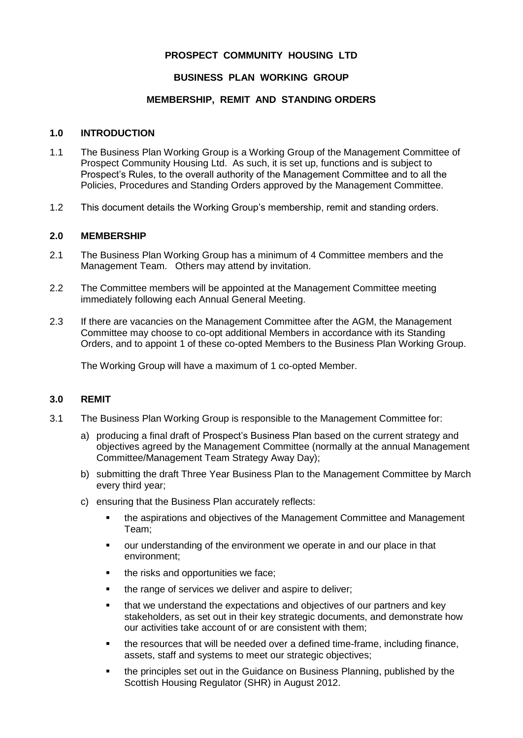# **PROSPECT COMMUNITY HOUSING LTD**

# **BUSINESS PLAN WORKING GROUP**

## **MEMBERSHIP, REMIT AND STANDING ORDERS**

#### **1.0 INTRODUCTION**

- 1.1 The Business Plan Working Group is a Working Group of the Management Committee of Prospect Community Housing Ltd. As such, it is set up, functions and is subject to Prospect's Rules, to the overall authority of the Management Committee and to all the Policies, Procedures and Standing Orders approved by the Management Committee.
- 1.2 This document details the Working Group's membership, remit and standing orders.

## **2.0 MEMBERSHIP**

- 2.1 The Business Plan Working Group has a minimum of 4 Committee members and the Management Team. Others may attend by invitation.
- 2.2 The Committee members will be appointed at the Management Committee meeting immediately following each Annual General Meeting.
- 2.3 If there are vacancies on the Management Committee after the AGM, the Management Committee may choose to co-opt additional Members in accordance with its Standing Orders, and to appoint 1 of these co-opted Members to the Business Plan Working Group.

The Working Group will have a maximum of 1 co-opted Member.

#### **3.0 REMIT**

- 3.1 The Business Plan Working Group is responsible to the Management Committee for:
	- a) producing a final draft of Prospect's Business Plan based on the current strategy and objectives agreed by the Management Committee (normally at the annual Management Committee/Management Team Strategy Away Day);
	- b) submitting the draft Three Year Business Plan to the Management Committee by March every third year;
	- c) ensuring that the Business Plan accurately reflects:
		- **•** the aspirations and objectives of the Management Committee and Management Team;
		- our understanding of the environment we operate in and our place in that environment;
		- the risks and opportunities we face:
		- **.** the range of services we deliver and aspire to deliver;
		- **•** that we understand the expectations and objectives of our partners and key stakeholders, as set out in their key strategic documents, and demonstrate how our activities take account of or are consistent with them;
		- the resources that will be needed over a defined time-frame, including finance, assets, staff and systems to meet our strategic objectives;
		- the principles set out in the Guidance on Business Planning, published by the Scottish Housing Regulator (SHR) in August 2012.